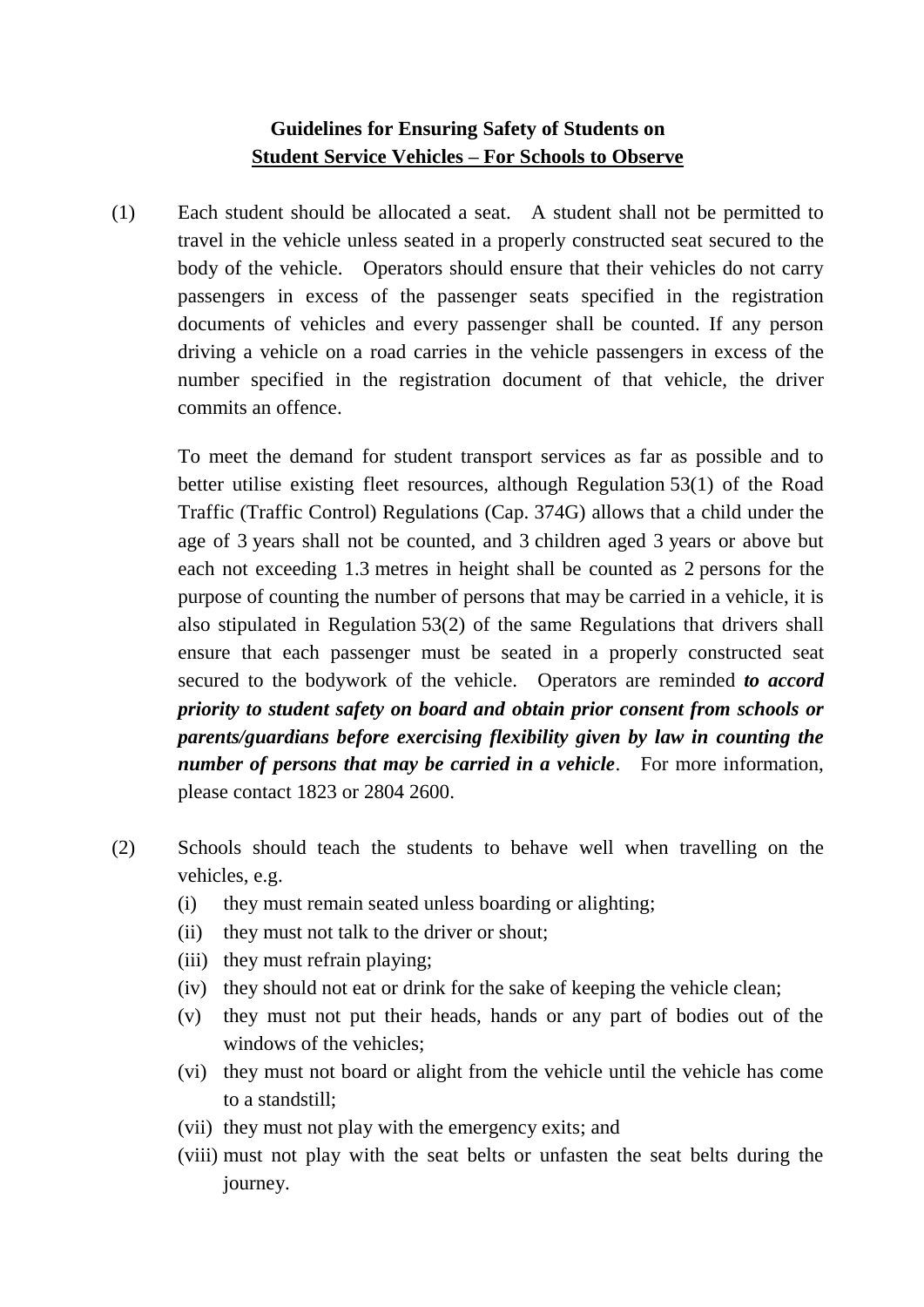# **Guidelines for Ensuring Safety of Students on Student Service Vehicles – For Schools to Observe**

(1) Each student should be allocated a seat. A student shall not be permitted to travel in the vehicle unless seated in a properly constructed seat secured to the body of the vehicle. Operators should ensure that their vehicles do not carry passengers in excess of the passenger seats specified in the registration documents of vehicles and every passenger shall be counted. If any person driving a vehicle on a road carries in the vehicle passengers in excess of the number specified in the registration document of that vehicle, the driver commits an offence.

To meet the demand for student transport services as far as possible and to better utilise existing fleet resources, although Regulation 53(1) of the Road Traffic (Traffic Control) Regulations (Cap. 374G) allows that a child under the age of 3 years shall not be counted, and 3 children aged 3 years or above but each not exceeding 1.3 metres in height shall be counted as 2 persons for the purpose of counting the number of persons that may be carried in a vehicle, it is also stipulated in Regulation 53(2) of the same Regulations that drivers shall ensure that each passenger must be seated in a properly constructed seat secured to the bodywork of the vehicle. Operators are reminded *to accord priority to student safety on board and obtain prior consent from schools or parents/guardians before exercising flexibility given by law in counting the number of persons that may be carried in a vehicle*. For more information, please contact 1823 or 2804 2600.

- (2) Schools should teach the students to behave well when travelling on the vehicles, e.g.
	- (i) they must remain seated unless boarding or alighting;
	- (ii) they must not talk to the driver or shout;
	- (iii) they must refrain playing;
	- (iv) they should not eat or drink for the sake of keeping the vehicle clean;
	- (v) they must not put their heads, hands or any part of bodies out of the windows of the vehicles;
	- (vi) they must not board or alight from the vehicle until the vehicle has come to a standstill;
	- (vii) they must not play with the emergency exits; and
	- (viii) must not play with the seat belts or unfasten the seat belts during the journey.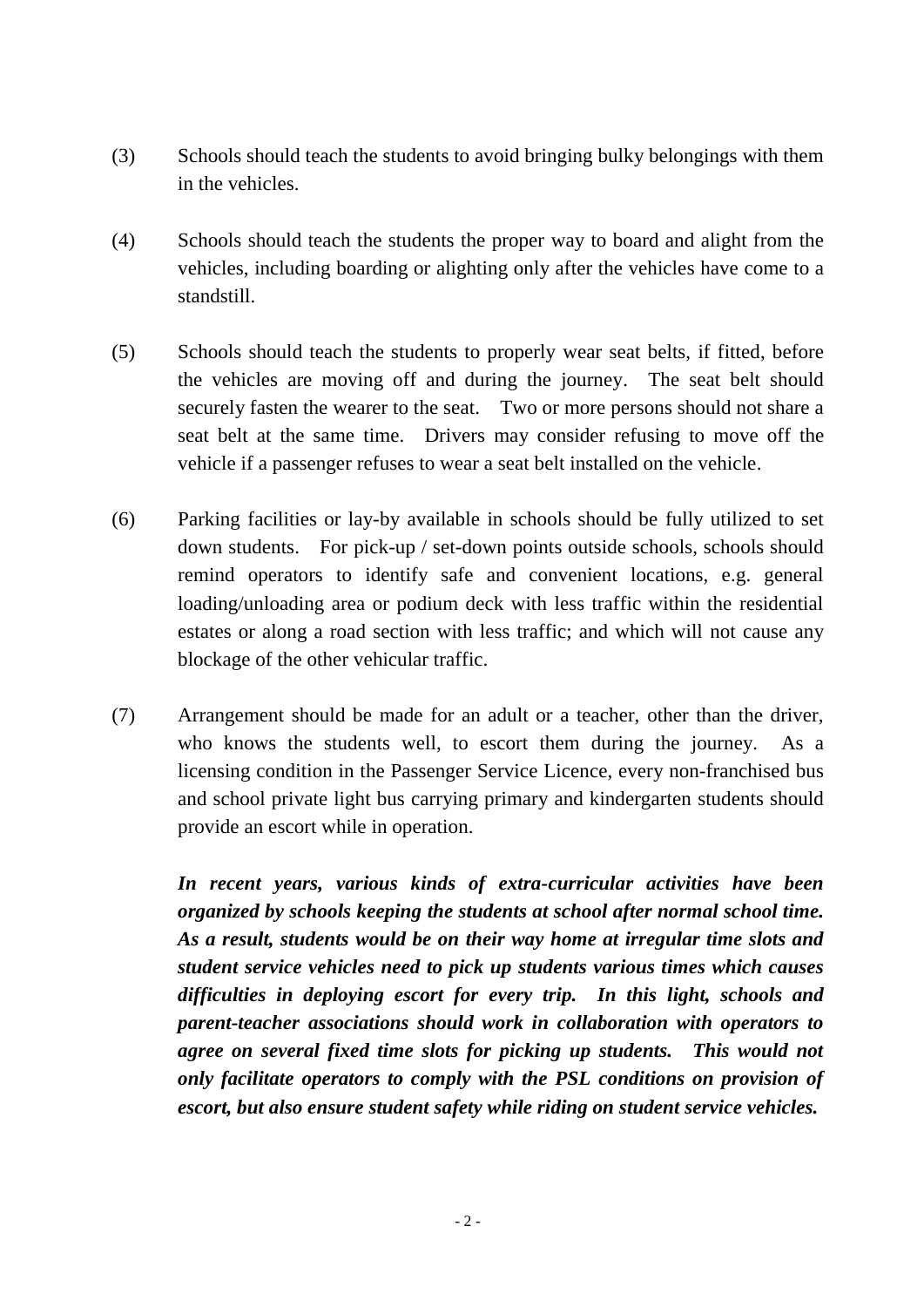- (3) Schools should teach the students to avoid bringing bulky belongings with them in the vehicles.
- (4) Schools should teach the students the proper way to board and alight from the vehicles, including boarding or alighting only after the vehicles have come to a standstill.
- (5) Schools should teach the students to properly wear seat belts, if fitted, before the vehicles are moving off and during the journey. The seat belt should securely fasten the wearer to the seat. Two or more persons should not share a seat belt at the same time. Drivers may consider refusing to move off the vehicle if a passenger refuses to wear a seat belt installed on the vehicle.
- (6) Parking facilities or lay-by available in schools should be fully utilized to set down students. For pick-up / set-down points outside schools, schools should remind operators to identify safe and convenient locations, e.g. general loading/unloading area or podium deck with less traffic within the residential estates or along a road section with less traffic; and which will not cause any blockage of the other vehicular traffic.
- (7) Arrangement should be made for an adult or a teacher, other than the driver, who knows the students well, to escort them during the journey. As a licensing condition in the Passenger Service Licence, every non-franchised bus and school private light bus carrying primary and kindergarten students should provide an escort while in operation.

*In recent years, various kinds of extra-curricular activities have been organized by schools keeping the students at school after normal school time. As a result, students would be on their way home at irregular time slots and student service vehicles need to pick up students various times which causes difficulties in deploying escort for every trip. In this light, schools and parent-teacher associations should work in collaboration with operators to agree on several fixed time slots for picking up students. This would not only facilitate operators to comply with the PSL conditions on provision of escort, but also ensure student safety while riding on student service vehicles.*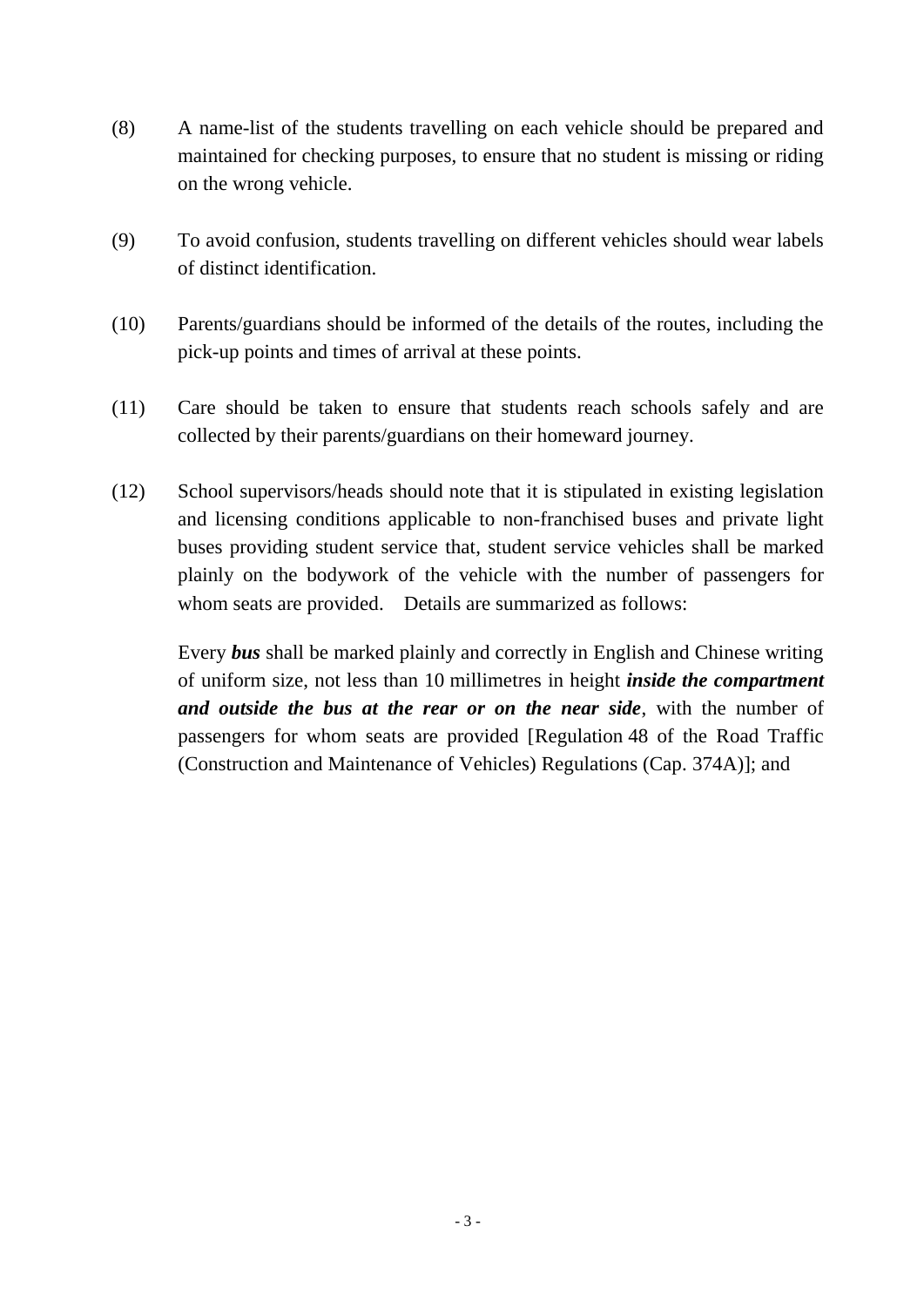- (8) A name-list of the students travelling on each vehicle should be prepared and maintained for checking purposes, to ensure that no student is missing or riding on the wrong vehicle.
- (9) To avoid confusion, students travelling on different vehicles should wear labels of distinct identification.
- (10) Parents/guardians should be informed of the details of the routes, including the pick-up points and times of arrival at these points.
- (11) Care should be taken to ensure that students reach schools safely and are collected by their parents/guardians on their homeward journey.
- (12) School supervisors/heads should note that it is stipulated in existing legislation and licensing conditions applicable to non-franchised buses and private light buses providing student service that, student service vehicles shall be marked plainly on the bodywork of the vehicle with the number of passengers for whom seats are provided. Details are summarized as follows:

Every *bus* shall be marked plainly and correctly in English and Chinese writing of uniform size, not less than 10 millimetres in height *inside the compartment and outside the bus at the rear or on the near side*, with the number of passengers for whom seats are provided [Regulation 48 of the Road Traffic (Construction and Maintenance of Vehicles) Regulations (Cap. 374A)]; and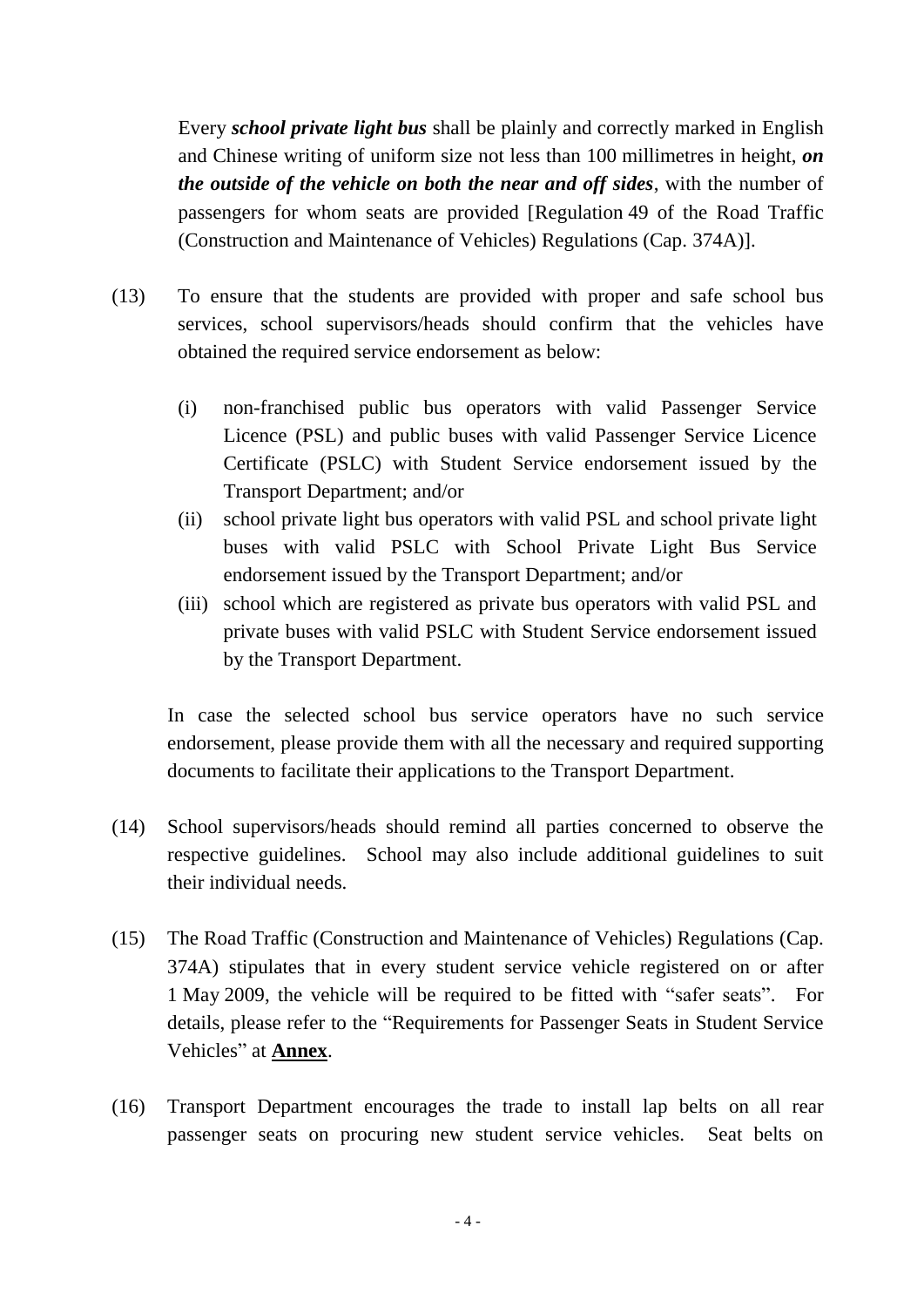Every *school private light bus* shall be plainly and correctly marked in English and Chinese writing of uniform size not less than 100 millimetres in height, *on the outside of the vehicle on both the near and off sides*, with the number of passengers for whom seats are provided [Regulation 49 of the Road Traffic (Construction and Maintenance of Vehicles) Regulations (Cap. 374A)].

- (13) To ensure that the students are provided with proper and safe school bus services, school supervisors/heads should confirm that the vehicles have obtained the required service endorsement as below:
	- (i) non-franchised public bus operators with valid Passenger Service Licence (PSL) and public buses with valid Passenger Service Licence Certificate (PSLC) with Student Service endorsement issued by the Transport Department; and/or
	- (ii) school private light bus operators with valid PSL and school private light buses with valid PSLC with School Private Light Bus Service endorsement issued by the Transport Department; and/or
	- (iii) school which are registered as private bus operators with valid PSL and private buses with valid PSLC with Student Service endorsement issued by the Transport Department.

In case the selected school bus service operators have no such service endorsement, please provide them with all the necessary and required supporting documents to facilitate their applications to the Transport Department.

- (14) School supervisors/heads should remind all parties concerned to observe the respective guidelines. School may also include additional guidelines to suit their individual needs.
- (15) The Road Traffic (Construction and Maintenance of Vehicles) Regulations (Cap. 374A) stipulates that in every student service vehicle registered on or after 1 May 2009, the vehicle will be required to be fitted with "safer seats". For details, please refer to the "Requirements for Passenger Seats in Student Service Vehicles" at **Annex**.
- (16) Transport Department encourages the trade to install lap belts on all rear passenger seats on procuring new student service vehicles. Seat belts on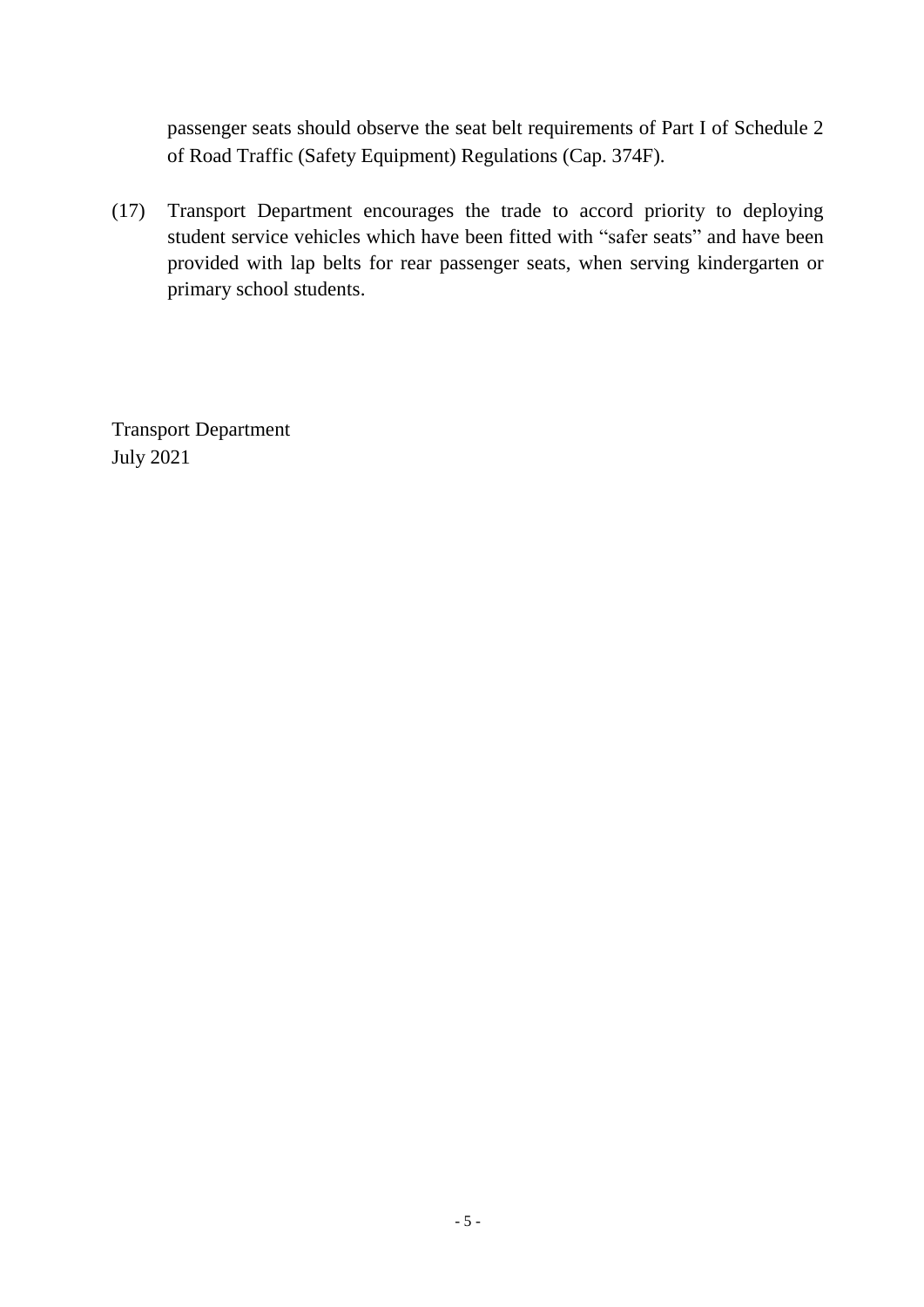passenger seats should observe the seat belt requirements of Part I of Schedule 2 of Road Traffic (Safety Equipment) Regulations (Cap. 374F).

(17) Transport Department encourages the trade to accord priority to deploying student service vehicles which have been fitted with "safer seats" and have been provided with lap belts for rear passenger seats, when serving kindergarten or primary school students.

Transport Department July 2021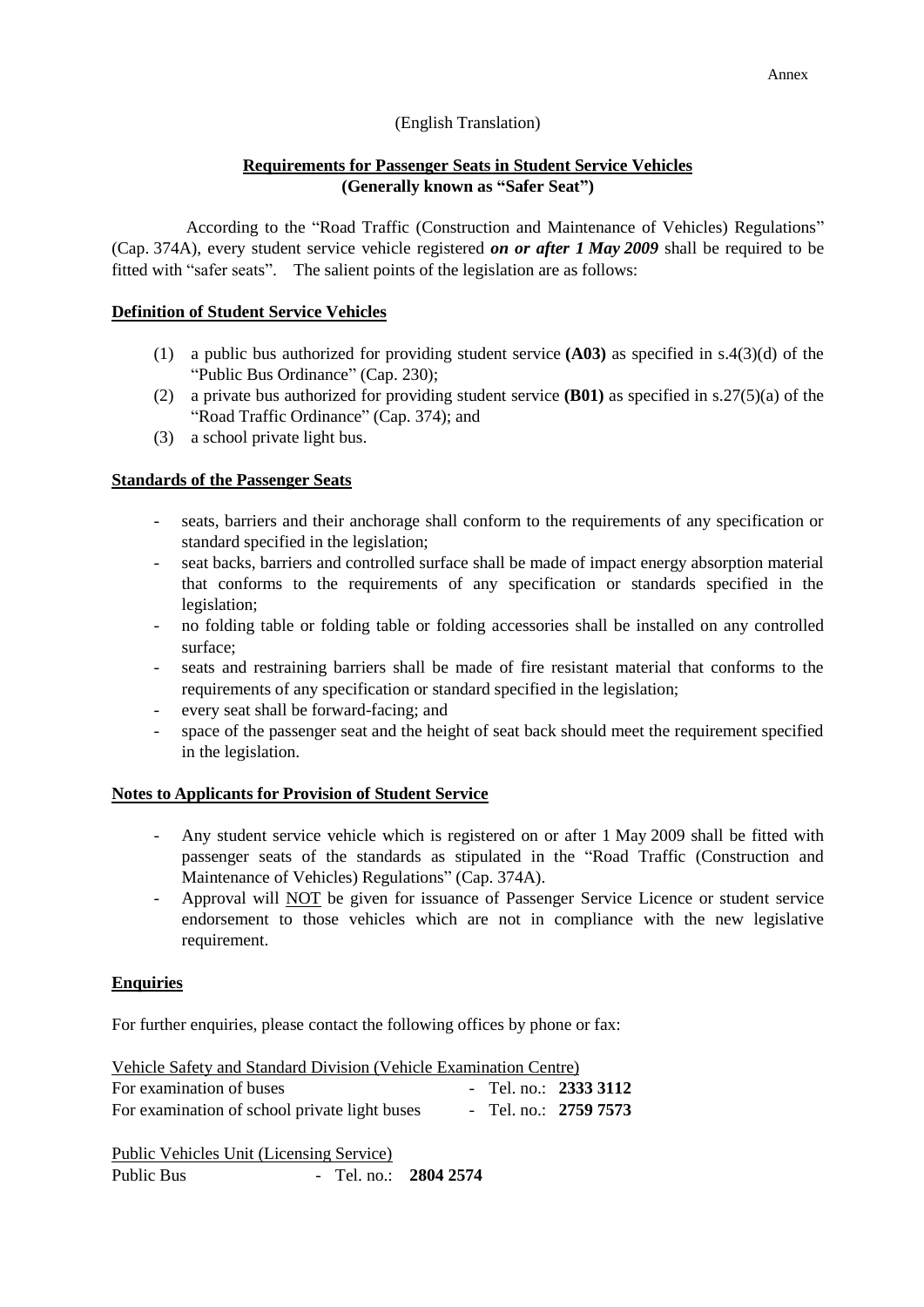### (English Translation)

# **Requirements for Passenger Seats in Student Service Vehicles (Generally known as "Safer Seat")**

According to the "Road Traffic (Construction and Maintenance of Vehicles) Regulations" (Cap. 374A), every student service vehicle registered *on or after 1 May 2009* shall be required to be fitted with "safer seats". The salient points of the legislation are as follows:

### **Definition of Student Service Vehicles**

- (1) a public bus authorized for providing student service **(A03)** as specified in s.4(3)(d) of the "Public Bus Ordinance" (Cap. 230);
- (2) a private bus authorized for providing student service **(B01)** as specified in s.27(5)(a) of the "Road Traffic Ordinance" (Cap. 374); and
- (3) a school private light bus.

## **Standards of the Passenger Seats**

- seats, barriers and their anchorage shall conform to the requirements of any specification or standard specified in the legislation;
- seat backs, barriers and controlled surface shall be made of impact energy absorption material that conforms to the requirements of any specification or standards specified in the legislation;
- no folding table or folding table or folding accessories shall be installed on any controlled surface;
- seats and restraining barriers shall be made of fire resistant material that conforms to the requirements of any specification or standard specified in the legislation;
- every seat shall be forward-facing; and
- space of the passenger seat and the height of seat back should meet the requirement specified in the legislation.

#### **Notes to Applicants for Provision of Student Service**

- Any student service vehicle which is registered on or after 1 May 2009 shall be fitted with passenger seats of the standards as stipulated in the "Road Traffic (Construction and Maintenance of Vehicles) Regulations" (Cap. 374A).
- Approval will NOT be given for issuance of Passenger Service Licence or student service endorsement to those vehicles which are not in compliance with the new legislative requirement.

#### **Enquiries**

For further enquiries, please contact the following offices by phone or fax:

| Vehicle Safety and Standard Division (Vehicle Examination Centre) |  |                        |
|-------------------------------------------------------------------|--|------------------------|
| For examination of buses                                          |  | - Tel. no.: $23333112$ |
| For examination of school private light buses                     |  | - Tel. no.: 2759 7573  |

Public Vehicles Unit (Licensing Service) Public Bus - Tel. no.: **2804 2574**